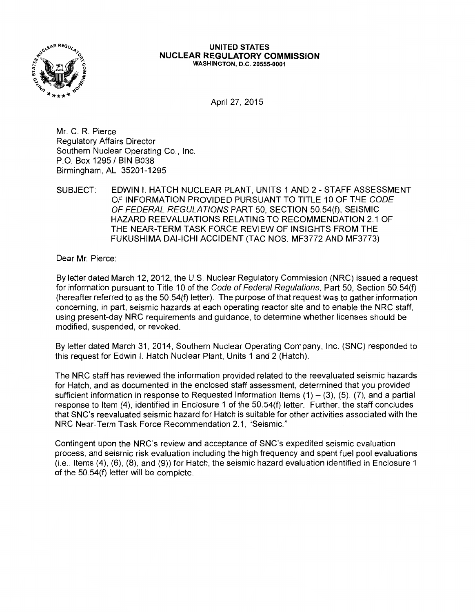

#### **UNITED STATES NUCLEAR REGULATORY COMMISSION**  WASHINGTON, D.C. 20555-0001

April 27, 2015

Mr. C. R. Pierce Regulatory Affairs Director Southern Nuclear Operating Co., Inc. P.O. Box 1295 / BIN B038 Birmingham, AL 35201-1295

SUBJECT: EDWIN I. HATCH NUCLEAR PLANT, UNITS 1 AND 2 - STAFF ASSESSMENT OF INFORMATION PROVIDED PURSUANT TO TITLE 10 OF THE CODE OF FEDERAL REGULATIONS PART 50, SECTION 50.54(f), SEISMIC HAZARD REEVALUATIONS RELATING TO RECOMMENDATION 2.1 OF THE NEAR-TERM TASK FORCE REVIEW OF INSIGHTS FROM THE FUKUSHIMA DAl-ICHI ACCIDENT (TAC NOS. MF3772 AND MF3773)

Dear Mr. Pierce:

By letter dated March 12, 2012, the U.S. Nuclear Regulatory Commission (NRC) issued a request for information pursuant to Title 10 of the Code of Federal Regulations, Part 50, Section 50.54(f) (hereafter referred to as the 50.54(f) letter). The purpose of that request was to gather information concerning, in part, seismic hazards at each operating reactor site and to enable the NRC staff, using present-day NRC requirements and guidance, to determine whether licenses should be modified, suspended, or revoked.

By letter dated March 31, 2014, Southern Nuclear Operating Company, Inc. (SNC) responded to this request for Edwin I. Hatch Nuclear Plant, Units 1 and 2 (Hatch).

The NRC staff has reviewed the information provided related to the reevaluated seismic hazards for Hatch, and as documented in the enclosed staff assessment, determined that you provided sufficient information in response to Requested Information Items  $(1) - (3)$ ,  $(5)$ ,  $(7)$ , and a partial response to Item (4), identified in Enclosure 1 of the 50.54(f) letter. Further, the staff concludes that SNC's reevaluated seismic hazard for Hatch is suitable for other activities associated with the NRC Near-Term Task Force Recommendation 2.1, "Seismic."

Contingent upon the NRC's review and acceptance of SNC's expedited seismic evaluation process, and seismic risk evaluation including the high frequency and spent fuel pool evaluations (i.e., Items (4), (6), (8), and (9)) for Hatch, the seismic hazard evaluation identified in Enclosure 1 of the 50.54(f) letter will be complete.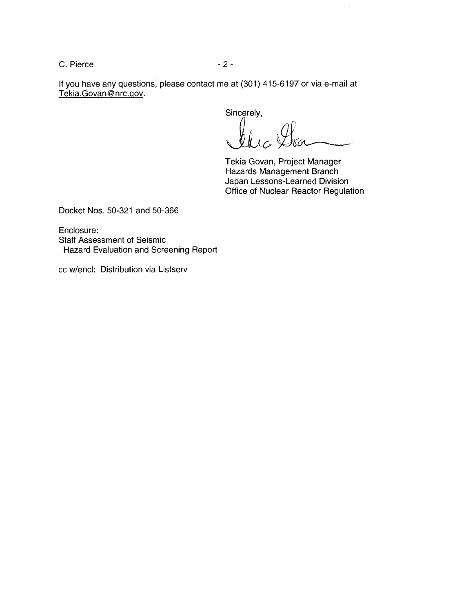C. Pierce - 2 -

If you have any questions, please contact me at (301) 415-6197 or via e-mail at Tekia.Govan@nrc.gov.

Sincerely,

 $\mathcal{U}\iota_{\alpha}\mathcal{Y}_{\delta\alpha}$ 

Tekia Govan, Project Manager Hazards Management Branch Japan Lessons-Learned Division Office of Nuclear Reactor Regulation

Docket Nos. 50-321 and 50-366

Enclosure: Staff Assessment of Seismic Hazard Evaluation and Screening Report

cc w/encl: Distribution via Listserv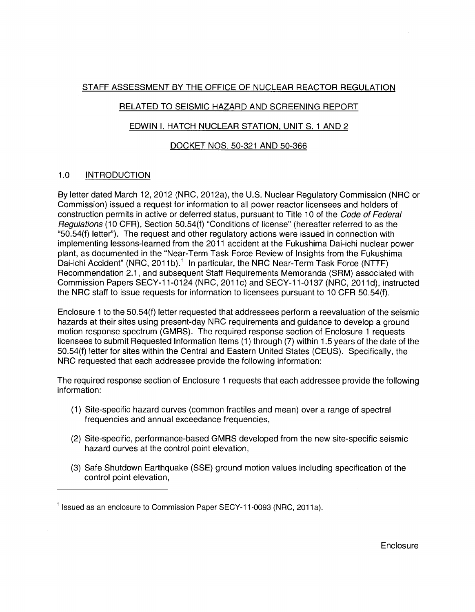# STAFF ASSESSMENT BY THE OFFICE OF NUCLEAR REACTOR REGULATION

## RELATED TO SEISMIC HAZARD AND SCREENING REPORT

# EDWIN I. HATCH NUCLEAR STATION, UNIT S. 1 AND 2

## DOCKET NOS. 50-321 AND 50-366

# 1.0 INTRODUCTION

By letter dated March 12, 2012 (NRC, 2012a), the U.S. Nuclear Regulatory Commission (NRC or Commission) issued a request for information to all power reactor licensees and holders of construction permits in active or deferred status, pursuant to Title 10 of the Code of Federal Regulations (10 CFR), Section 50.54(f) "Conditions of license" (hereafter referred to as the "50.54(f) letter"). The request and other regulatory actions were issued in connection with implementing lessons-learned from the 2011 accident at the Fukushima Dai-ichi nuclear power plant, as documented in the "Near-Term Task Force Review of Insights from the Fukushima Dai-ichi Accident" (NRC, 2011b).<sup>1</sup> In particular, the NRC Near-Term Task Force (NTTF) Recommendation 2.1, and subsequent Staff Requirements Memoranda (SRM) associated with Commission Papers SECY-11-0124 (NRC, 2011c) and SECY-11-0137 (NRC, 2011d), instructed the NRC staff to issue requests for information to licensees pursuant to 10 CFR 50.54(f).

Enclosure 1 to the 50.54(f) letter requested that addressees perform a reevaluation of the seismic hazards at their sites using present-day NRC requirements and guidance to develop a ground motion response spectrum (GMRS). The required response section of Enclosure 1 requests licensees to submit Requested Information Items (1) through (7) within 1.5 years of the date of the 50.54(f) letter for sites within the Central and Eastern United States (CEUS). Specifically, the NRC requested that each addressee provide the following information:

The required response section of Enclosure 1 requests that each addressee provide the following information:

- (1) Site-specific hazard curves (common fractiles and mean) over a range of spectral frequencies and annual exceedance frequencies,
- (2) Site-specific, performance-based GMRS developed from the new site-specific seismic hazard curves at the control point elevation,
- (3) Safe Shutdown Earthquake (SSE) ground motion values including specification of the control point elevation,

 $1$  Issued as an enclosure to Commission Paper SECY-11-0093 (NRC, 2011a).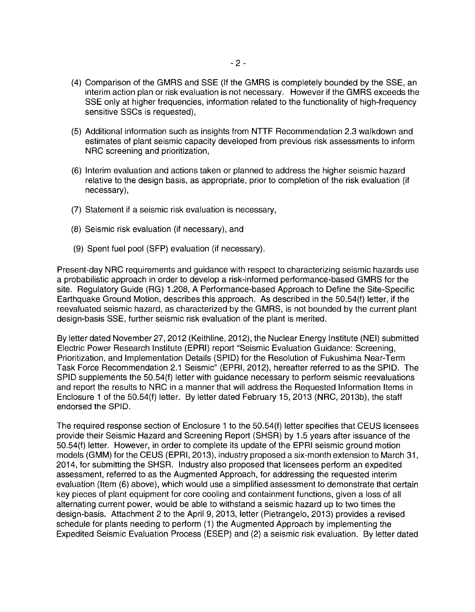- (4) Comparison of the GMRS and SSE (If the GMRS is completely bounded by the SSE, an interim action plan or risk evaluation is not necessary. However if the GMRS exceeds the SSE only at higher frequencies, information related to the functionality of high-frequency sensitive SSCs is requested),
- (5) Additional information such as insights from NTTF Recommendation 2.3 walkdown and estimates of plant seismic capacity developed from previous risk assessments to inform NRC screening and prioritization,
- (6) Interim evaluation and actions taken or planned to address the higher seismic hazard relative to the design basis, as appropriate, prior to completion of the risk evaluation (if necessary),
- (7) Statement if a seismic risk evaluation is necessary,
- (8) Seismic risk evaluation (if necessary), and
- (9) Spent fuel pool (SFP) evaluation (if necessary).

Present-day NRC requirements and guidance with respect to characterizing seismic hazards use a probabilistic approach in order to develop a risk-informed performance-based GMRS for the site. Regulatory Guide (RG) 1.208, A Performance-based Approach to Define the Site-Specific Earthquake Ground Motion, describes this approach. As described in the 50.54(f) letter, if the reevaluated seismic hazard, as characterized by the GMRS, is not bounded by the current plant design-basis SSE, further seismic risk evaluation of the plant is merited.

By letter dated November 27, 2012 (Keithline, 2012), the Nuclear Energy Institute (NEI) submitted Electric Power Research Institute (EPRI) report "Seismic Evaluation Guidance: Screening, Prioritization, and Implementation Details (SPID) for the Resolution of Fukushima Near-Term Task Force Recommendation 2.1 Seismic" (EPRI, 2012), hereafter referred to as the SPID. The SPID supplements the 50.54(f) letter with guidance necessary to perform seismic reevaluations and report the results to NRC in a manner that will address the Requested Information Items in Enclosure 1 of the 50.54(f) letter. By letter dated February 15, 2013 (NRC, 2013b), the staff endorsed the SPID.

The required response section of Enclosure 1 to the 50.54(f) letter specifies that CEUS licensees provide their Seismic Hazard and Screening Report (SHSR) by 1.5 years after issuance of the 50.54(f) letter. However, in order to complete its update of the EPRI seismic ground motion models (GMM) for the CEUS (EPRI, 2013), industry proposed a six-month extension to March 31, 2014, for submitting the SHSR. Industry also proposed that licensees perform an expedited assessment, referred to as the Augmented Approach, for addressing the requested interim evaluation (Item (6) above), which would use a simplified assessment to demonstrate that certain key pieces of plant equipment for core cooling and containment functions, given a loss of all alternating current power, would be able to withstand a seismic hazard up to two times the design-basis. Attachment 2 to the April 9, 2013, letter (Pietrangelo, 2013) provides a revised schedule for plants needing to perform (1) the Augmented Approach by implementing the Expedited Seismic Evaluation Process (ESEP) and (2) a seismic risk evaluation. By letter dated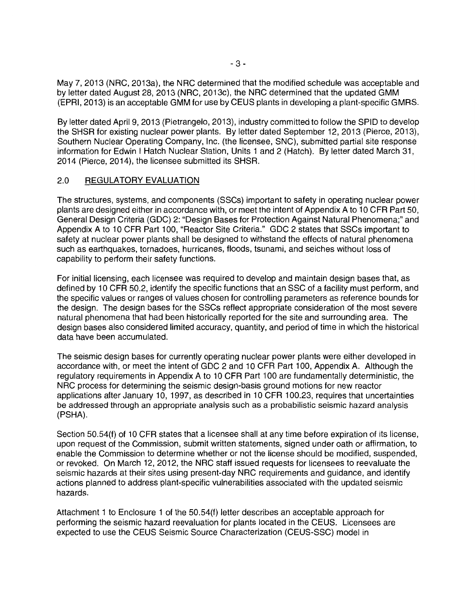May 7, 2013 (NRC, 2013a), the NRC determined that the modified schedule was acceptable and by letter dated August 28, 2013 (NRC, 2013c), the NRC determined that the updated GMM (EPRI, 2013) is an acceptable GMM for use by CEUS plants in developing a plant-specific GMRS.

By letter dated April 9, 2013 (Pietrangelo, 2013), industry committed to follow the SPID to develop the SHSR for existing nuclear power plants. By letter dated September 12, 2013 (Pierce, 2013), Southern Nuclear Operating Company, Inc. (the licensee, SNC), submitted partial site response information for Edwin I Hatch Nuclear Station, Units 1 and 2 (Hatch). By letter dated March 31, 2014 (Pierce, 2014), the licensee submitted its SHSR.

## 2.0 REGULATORY EVALUATION

The structures, systems, and components (SSCs) important to safety in operating nuclear power plants are designed either in accordance with, or meet the intent of Appendix A to 10 CFR Part 50, General Design Criteria (GDC) 2: "Design Bases for Protection Against Natural Phenomena;" and Appendix A to 10 CFR Part 100, "Reactor Site Criteria." GDC 2 states that SSCs important to safety at nuclear power plants shall be designed to withstand the effects of natural phenomena such as earthquakes, tornadoes, hurricanes, floods, tsunami, and seiches without loss of capability to perform their safety functions.

For initial licensing, each licensee was required to develop and maintain design bases that, as defined by 10 CFR 50.2, identify the specific functions that an SSC of a facility must perform, and the specific values or ranges of values chosen for controlling parameters as reference bounds for the design. The design bases for the SSCs reflect appropriate consideration of the most severe natural phenomena that had been historically reported for the site and surrounding area. The design bases also considered limited accuracy, quantity, and period of time in which the historical data have been accumulated.

The seismic design bases for currently operating nuclear power plants were either developed in accordance with, or meet the intent of GDC 2 and 10 CFR Part 100, Appendix A. Although the regulatory requirements in Appendix A to 10 CFR Part 100 are fundamentally deterministic, the NRC process for determining the seismic design-basis ground motions for new reactor applications after January 10, 1997, as described in 10 CFR 100.23, requires that uncertainties be addressed through an appropriate analysis such as a probabilistic seismic hazard analysis (PSHA).

Section 50.54(f) of 10 CFR states that a licensee shall at any time before expiration of its license, upon request of the Commission, submit written statements, signed under oath or affirmation, to enable the Commission to determine whether or not the license should be modified, suspended, or revoked. On March 12, 2012, the NRC staff issued requests for licensees to reevaluate the seismic hazards at their sites using present-day NRC requirements and guidance, and identify actions planned to address plant-specific vulnerabilities associated with the updated seismic hazards.

Attachment 1 to Enclosure 1 of the 50.54(f) letter describes an acceptable approach for performing the seismic hazard reevaluation for plants located in the CEUS. Licensees are expected to use the CEUS Seismic Source Characterization (CEUS-SSC) model in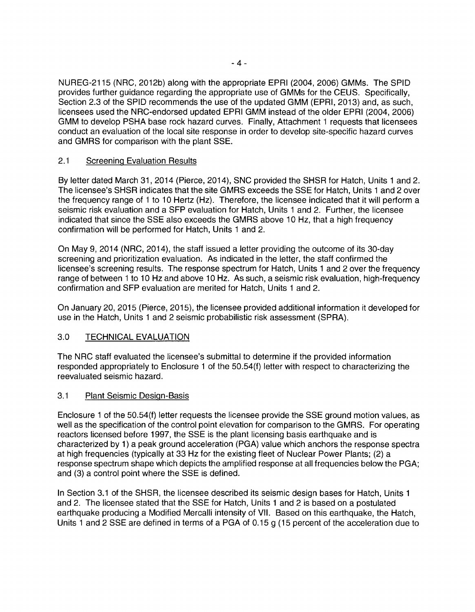NUREG-2115 (NRG, 2012b) along with the appropriate EPRI (2004, 2006) GMMs. The SPID provides further guidance regarding the appropriate use of GMMs for the CEUS. Specifically, Section 2.3 of the SPID recommends the use of the updated GMM (EPRI, 2013) and, as such, licensees used the NRG-endorsed updated EPRI GMM instead of the older EPRI (2004, 2006) GMM to develop PSHA base rock hazard curves. Finally, Attachment 1 requests that licensees conduct an evaluation of the local site response in order to develop site-specific hazard curves and GMRS for comparison with the plant SSE.

## 2.1 Screening Evaluation Results

By letter dated March 31, 2014 (Pierce, 2014), SNC provided the SHSR for Hatch, Units 1 and 2. The licensee's SHSR indicates that the site GMRS exceeds the SSE for Hatch, Units 1 and 2 over the frequency range of 1 to 10 Hertz (Hz). Therefore, the licensee indicated that it will perform a seismic risk evaluation and a SFP evaluation for Hatch, Units 1 and 2. Further, the licensee indicated that since the SSE also exceeds the GMRS above 10 Hz, that a high frequency confirmation will be performed for Hatch, Units 1 and 2.

On May 9, 2014 (NRG, 2014), the staff issued a letter providing the outcome of its 30-day screening and prioritization evaluation. As indicated in the letter, the staff confirmed the licensee's screening results. The response spectrum for Hatch, Units 1 and 2 over the frequency range of between 1 to 10 Hz and above 10 Hz. As such, a seismic risk evaluation, high-frequency confirmation and SFP evaluation are merited for Hatch, Units 1 and 2.

On January 20, 2015 (Pierce, 2015), the licensee provided additional information it developed for use in the Hatch, Units 1 and 2 seismic probabilistic risk assessment (SPRA).

## 3.0 TECHNICAL EVALUATION

The NRG staff evaluated the licensee's submittal to determine if the provided information responded appropriately to Enclosure 1 of the 50.54(f) letter with respect to characterizing the reevaluated seismic hazard.

#### 3.1 Plant Seismic Design-Basis

Enclosure 1 of the 50.54(f) letter requests the licensee provide the SSE ground motion values, as well as the specification of the control point elevation for comparison to the GMRS. For operating reactors licensed before 1997, the SSE is the plant licensing basis earthquake and is characterized by 1) a peak ground acceleration (PGA) value which anchors the response spectra at high frequencies (typically at 33 Hz for the existing fleet of Nuclear Power Plants; (2) a response spectrum shape which depicts the amplified response at all frequencies below the PGA; and (3) a control point where the SSE is defined.

In Section 3.1 of the SHSR, the licensee described its seismic design bases for Hatch, Units 1 and 2. The licensee stated that the SSE for Hatch, Units 1 and 2 is based on a postulated earthquake producing a Modified Mercalli intensity of VII. Based on this earthquake, the Hatch, Units 1 and 2 SSE are defined in terms of a PGA of 0.15 g (15 percent of the acceleration due to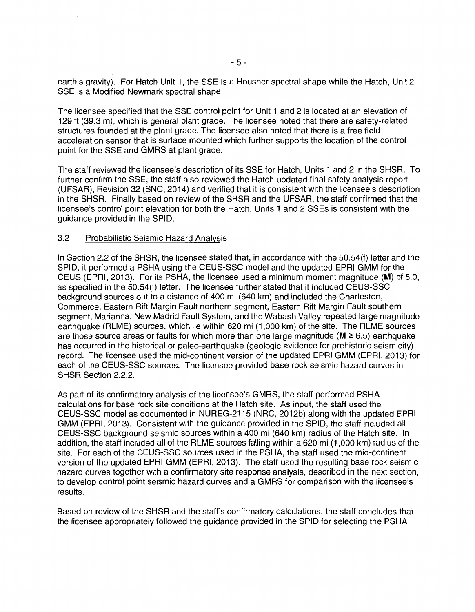earth's gravity). For Hatch Unit 1, the SSE is a Housner spectral shape while the Hatch, Unit 2 SSE is a Modified Newmark spectral shape.

The licensee specified that the SSE control point tor Unit 1 and 2 is located at an elevation of 129 ft (39.3 m), which is general plant grade. The licensee noted that there are safety-related structures founded at the plant grade. The licensee also noted that there is a free field acceleration sensor that is surface mounted which further supports the location of the control point for the SSE and GMRS at plant grade.

The staff reviewed the licensee's description of its SSE tor Hatch, Units 1 and 2 in the SHSR. To further confirm the SSE, the staff also reviewed the Hatch updated final safety analysis report (UFSAR), Revision 32 (SNC, 2014) and verified that it is consistent with the licensee's description in the SHSR. Finally based on review of the SHSR and the UFSAR, the staff confirmed that the licensee's control point elevation for both the Hatch, Units 1 and 2 SSEs is consistent with the guidance provided in the SPID.

#### 3.2 Probabilistic Seismic Hazard Analysis

In Section 2.2 of the SHSR, the licensee stated that, in accordance with the 50.54(f) letter and the SPID, it performed a PSHA using the CEUS-SSC model and the updated EPRI GMM for the CEUS (EPRI, 2013). For its PSHA, the licensee used a minimum moment magnitude (M) of 5.0, as specified in the 50.54(f) letter. The licensee further stated that it included CEUS-SSC background sources out to a distance of 400 mi (640 km) and included the Charleston, Commerce, Eastern Rift Margin Fault northern segment, Eastern Rift Margin Fault southern segment, Marianna, New Madrid Fault System, and the Wabash Valley repeated large magnitude earthquake (RLME) sources, which lie within 620 mi (1,000 km) of the site. The RLME sources are those source areas or faults for which more than one large magnitude ( $M \ge 6.5$ ) earthquake has occurred in the historical or paleo-earthquake (geologic evidence tor prehistoric seismicity) record. The licensee used the mid-continent version of the updated EPRI GMM (EPRI, 2013) tor each of the CEUS-SSC sources. The licensee provided base rock seismic hazard curves in SHSR Section 2.2.2.

As part of its confirmatory analysis of the licensee's GMRS, the staff performed PSHA calculations for base rock site conditions at the Hatch site. As input, the staff used the CEUS-SSC model as documented in NUREG-2115 (NRC, 2012b) along with the updated EPRI GMM (EPRI, 2013). Consistent with the guidance provided in the SPID, the staff included all CEUS-SSC background seismic sources within a 400 mi (640 km) radius of the Hatch site. In addition, the staff included all of the RLME sources falling within a 620 mi (1,000 km) radius of the site. For each of the CEUS-SSC sources used in the PSHA, the staff used the mid-continent version of the updated EPRI GMM (EPRI, 2013). The staff used the resulting base rock seismic hazard curves together with a confirmatory site response analysis, described in the next section, to develop control point seismic hazard curves and a GMRS for comparison with the licensee's results.

Based on review of the SHSR and the staff's confirmatory calculations, the staff concludes that the licensee appropriately followed the guidance provided in the SPID for selecting the PSHA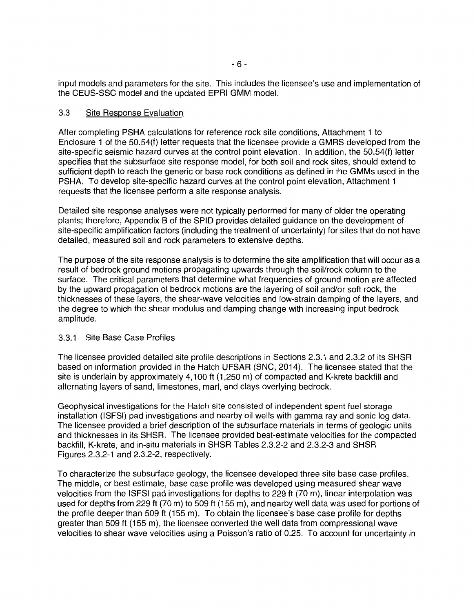input models and parameters for the site. This includes the licensee's use and implementation of the CEUS-SSC model and the updated EPRI GMM model.

## 3.3 Site Response Evaluation

After completing PSHA calculations for reference rock site conditions, Attachment 1 to Enclosure 1 of the 50.54(f) letter requests that the licensee provide a GMRS developed from the site-specific seismic hazard curves at the control point elevation. In addition, the 50.54(f) letter specifies that the subsurface site response model, for both soil and rock sites, should extend to sufficient depth to reach the generic or base rock conditions as defined in the GMMs used in the PSHA. To develop site-specific hazard curves at the control point elevation, Attachment 1 requests that the licensee perform a site response analysis.

Detailed site response analyses were not typically performed for many of older the operating plants; therefore, Appendix B of the SPID provides detailed guidance on the development of site-specific amplification factors (including the treatment of uncertainty) for sites that do not have detailed, measured soil and rock parameters to extensive depths.

The purpose of the site response analysis is to determine the site amplification that will occur as a result of bedrock ground motions propagating upwards through the soil/rock column to the surface. The critical parameters that determine what frequencies of ground motion are affected by the upward propagation of bedrock motions are the layering of soil and/or soft rock, the thicknesses of these layers, the shear-wave velocities and low-strain damping of the layers, and the degree to which the shear modulus and damping change with increasing input bedrock amplitude.

## 3.3.1 Site Base Case Profiles

The licensee provided detailed site profile descriptions in Sections 2.3.1 and 2.3.2 of its SHSR based on information provided in the Hatch UFSAR (SNC, 2014). The licensee stated that the site is underlain by approximately 4, 100 ft (1,250 m) of compacted and K-krete backfill and alternating layers of sand, limestones, marl, and clays overlying bedrock.

Geophysical investigations for the Hatch site consisted of independent spent fuel storage installation (ISFSI) pad investigations and nearby oil wells with gamma ray and sonic log data. The licensee provided a brief description of the subsurface materials in terms of geologic units and thicknesses in its SHSR. The licensee provided best-estimate velocities for the compacted backfill, K-krete, and in-situ materials in SHSR Tables 2.3.2-2 and 2.3.2-3 and SHSR Figures 2.3.2-1 and 2.3.2-2, respectively.

To characterize the subsurface geology, the licensee developed three site base case profiles. The middle, or best estimate, base case profile was developed using measured shear wave velocities from the ISFSI pad investigations for depths to 229 ft (70 m), linear interpolation was used for depths from 229 ft (70 m) to 509 ft (155 m), and nearby well data was used for portions of the profile deeper than 509 ft (155 m). To obtain the licensee's base case profile for depths greater than 509 ft (155 m), the licensee converted the well data from compressional wave velocities to shear wave velocities using a Poisson's ratio of 0.25. To account for uncertainty in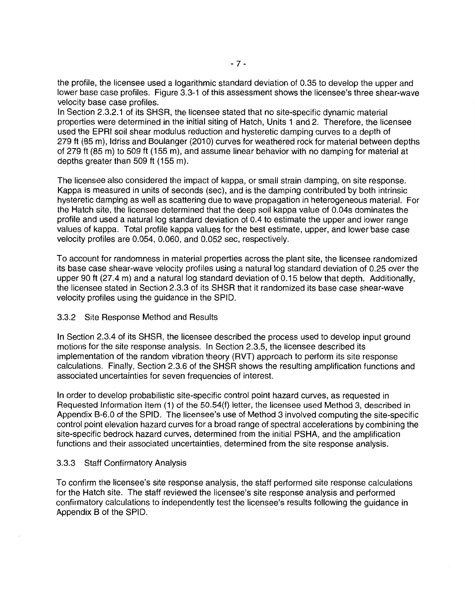the profile, the licensee used a logarithmic standard deviation of 0.35 to develop the upper and lower base case profiles. Figure 3.3-1 of this assessment shows the licensee's three shear-wave velocity base case profiles.

In Section 2.3.2.1 of its SHSR, the licensee stated that no site-specific dynamic material properties were determined in the initial siting of Hatch, Units 1 and 2. Therefore, the licensee used the EPRI soil shear modulus reduction and hysteretic damping curves to a depth of 279 ft (85 m), Idriss and Boulanger (2010) curves for weathered rock for material between depths of 279 ft (85 m) to 509 ft (155 m), and assume linear behavior with no damping for material at depths greater than 509 ft (155 m).

The licensee also considered the impact of kappa, or small strain damping, on site response. Kappa is measured in units of seconds (sec), and is the damping contributed by both intrinsic hysteretic damping as well as scattering due to wave propagation in heterogeneous material. For the Hatch site, the licensee determined that the deep soil kappa value of 0.04s dominates the profile and used a natural log standard deviation of 0.4 to estimate the upper and lower range values of kappa. Total profile kappa values for the best estimate, upper, and lower base case velocity profiles are 0.054, 0.060, and 0.052 sec, respectively.

To account for randomness in material properties across the plant site, the licensee randomized its base case shear-wave velocity profiles using a natural log standard deviation of 0.25 over the upper 90 ft (27.4 m) and a natural log standard deviation of 0.15 below that depth. Additionally, the licensee stated in Section 2.3.3 of its SHSR that it randomized its base case shear-wave velocity profiles using the guidance in the SPID.

#### 3.3.2 Site Response Method and Results

In Section 2.3.4 of its SHSR, the licensee described the process used to develop input ground motions for the site response analysis. In Section 2.3.5, the licensee described its implementation of the random vibration theory (RVT) approach to perform its site response calculations. Finally, Section 2.3.6 of the SHSR shows the resulting amplification functions and associated uncertainties for seven frequencies of interest.

In order to develop probabilistic site-specific control point hazard curves, as requested in Requested Information Item (1) of the 50.54(f) letter, the licensee used Method 3, described in Appendix B-6.0 of the SPID. The licensee's use of Method 3 involved computing the site-specific control point elevation hazard curves for a broad range of spectral accelerations by combining the site-specific bedrock hazard curves, determined from the initial PSHA, and the amplification functions and their associated uncertainties, determined from the site response analysis.

## 3.3.3 Staff Confirmatory Analysis

To confirm the licensee's site response analysis, the staff performed site response calculations for the Hatch site. The staff reviewed the licensee's site response analysis and performed confirmatory calculations to independently test the licensee's results following the guidance in Appendix B of the SPID.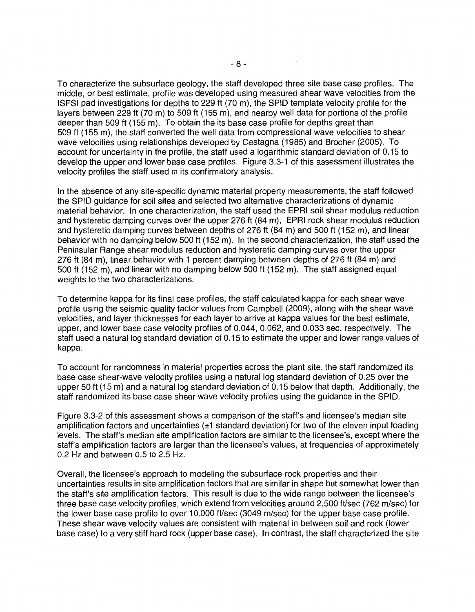To characterize the subsurface geology, the staff developed three site base case profiles. The middle, or best estimate, profile was developed using measured shear wave velocities from the ISFSI pad investigations for depths to 229 ft (70 m), the SPID template velocity profile for the layers between 229 ft (70 m) to 509 ft (155 m), and nearby well data for portions of the profile deeper than 509 ft (155 m). To obtain the its base case profile for depths great than 509 ft (155 m), the staff converted the well data from compressional wave velocities to shear wave velocities using relationships developed by Castagna (1985) and Brocher (2005). To account for uncertainty in the profile, the staff used a logarithmic standard deviation of 0.15 to develop the upper and lower base case profiles. Figure 3.3-1 of this assessment illustrates the velocity profiles the staff used in its confirmatory analysis.

In the absence of any site-specific dynamic material property measurements, the staff followed the SPID guidance for soil sites and selected two alternative characterizations of dynamic material behavior. In one characterization, the staff used the EPRI soil shear modulus reduction and hysteretic damping curves over the upper 276 ft (84 m), EPRI rock shear modulus reduction and hysteretic damping curves between depths of 276 ft (84 m) and 500 ft (152 m), and linear behavior with no damping below 500 ft (152 m). In the second characterization, the staff used the Peninsular Range shear modulus reduction and hysteretic damping curves over the upper 276 ft (84 m), linear behavior with 1 percent damping between depths of 276 ft (84 m) and 500 ft (152 m), and linear with no damping below 500 ft (152 m). The staff assigned equal weights to the two characterizations.

To determine kappa for its final case profiles, the staff calculated kappa for each shear wave profile using the seismic quality factor values from Campbell (2009), along with the shear wave velocities, and layer thicknesses for each layer to arrive at kappa values for the best estimate, upper, and lower base case velocity profiles of 0.044, 0.062, and 0.033 sec, respectively. The staff used a natural log standard deviation of 0.15 to estimate the upper and lower range values of kappa.

To account for randomness in material properties across the plant site, the staff randomized its base case shear-wave velocity profiles using a natural log standard deviation of 0.25 over the upper 50 ft (15 m) and a natural log standard deviation of 0.15 below that depth. Additionally, the staff randomized its base case shear wave velocity profiles using the guidance in the SPID.

Figure 3.3-2 of this assessment shows a comparison of the staff's and licensee's median site amplification factors and uncertainties  $(\pm 1)$  standard deviation) for two of the eleven input loading levels. The staff's median site amplification factors are similar to the licensee's, except where the staff's amplification factors are larger than the licensee's values, at frequencies of approximately 0.2 Hz and between 0.5 to 2.5 Hz.

Overall, the licensee's approach to modeling the subsurface rock properties and their uncertainties results in site amplification factors that are similar in shape but somewhat lower than the staff's site amplification factors. This result is due to the wide range between the licensee's three base case velocity profiles, which extend from velocities around 2,500 ft/sec (762 m/sec) for the lower base case profile to over 10,000 ft/sec (3049 m/sec) for the upper base case profile. These shear wave velocity values are consistent with material in between soil and rock (lower base case) to a very stiff hard rock (upper base case). In contrast, the staff characterized the site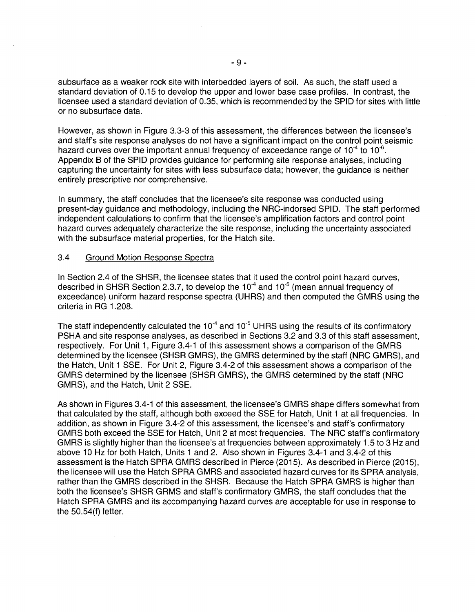subsurface as a weaker rock site with interbedded layers of soil. As such, the staff used a standard deviation of 0.15 to develop the upper and lower base case profiles. In contrast, the licensee used a standard deviation of 0.35, which is recommended by the SPID for sites with little or no subsurface data.

However, as shown in Figure 3.3-3 of this assessment, the differences between the licensee's and staff's site response analyses do not have a significant impact on the control point seismic hazard curves over the important annual frequency of exceedance range of 10 $4$  to 10 $6$ . Appendix B of the SPID provides guidance for performing site response analyses, including capturing the uncertainty for sites with less subsurface data; however, the guidance is neither entirely prescriptive nor comprehensive.

In summary, the staff concludes that the licensee's site response was conducted using present-day guidance and methodology, including the NRC-indorsed SPID\_ The staff performed independent calculations to confirm that the licensee's amplification factors and control point hazard curves adequately characterize the site response, including the uncertainty associated with the subsurface material properties, for the Hatch site.

#### 3.4 Ground Motion Response Spectra

In Section 2.4 of the SHSR, the licensee states that it used the control point hazard curves, described in SHSR Section 2.3.7, to develop the  $10^{-4}$  and  $10^{-5}$  (mean annual frequency of exceedance) uniform hazard response spectra (UHRS) and then computed the GMRS using the criteria in RG 1 .208.

The staff independently calculated the  $10^{-4}$  and  $10^{-5}$  UHRS using the results of its confirmatory PSHA and site response analyses, as described in Sections 3.2 and 3.3 of this staff assessment, respectively. For Unit 1, Figure 3.4-1 of this assessment shows a comparison of the GMRS determined by the licensee (SHSR GMRS), the GMRS determined by the staff (NRC GMRS), and the Hatch, Unit 1 SSE. For Unit 2, Figure 3.4-2 of this assessment shows a comparison of the GMRS determined by the licensee (SHSR GMRS), the GMRS determined by the staff (NRC GMRS), and the Hatch, Unit 2 SSE.

As shown in Figures 3.4-1 of this assessment, the licensee's GMRS shape differs somewhat from that calculated by the staff, although both exceed the SSE for Hatch, Unit 1 at all frequencies. In addition, as shown in Figure 3.4-2 of this assessment, the licensee's and staff's confirmatory GMRS both exceed the SSE for Hatch, Unit 2 at most frequencies. The NRC staff's confirmatory GMRS is slightly higher than the licensee's at frequencies between approximately 1.5 to 3 Hz and above 10 Hz for both Hatch, Units 1 and 2. Also shown in Figures 3.4-1 and 3.4-2 of this assessment is the Hatch SPRA GMRS described in Pierce (2015). As described in Pierce (2015), the licensee will use the Hatch SPRA GMRS and associated hazard curves for its SPRA analysis, rather than the GMRS described in the SHSR. Because the Hatch SPRA GMRS is higher than both the licensee's SHSR GRMS and staff's confirmatory GMRS, the staff concludes that the Hatch SPRA GMRS and its accompanying hazard curves are acceptable for use in response to the 50.54(f) letter.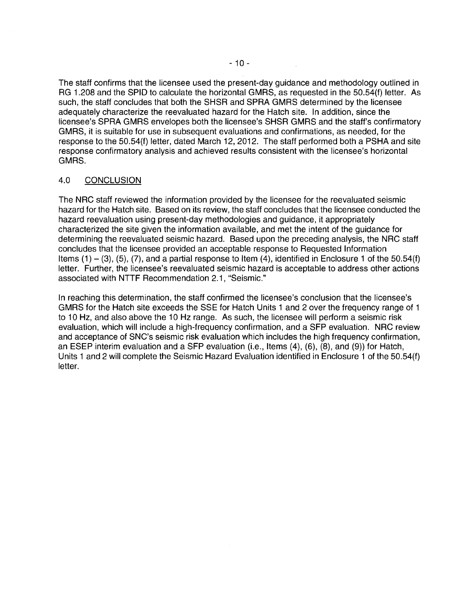The staff confirms that the licensee used the present-day guidance and methodology outlined in RG 1.208 and the SPID to calculate the horizontal GMRS, as requested in the 50.54(f) letter. As such, the staff concludes that both the SHSR and SPRA GMRS determined by the licensee adequately characterize the reevaluated hazard for the Hatch site. In addition, since the licensee's SPRA GMRS envelopes both the licensee's SHSR GMRS and the staff's confirmatory GMRS, it is suitable for use in subsequent evaluations and confirmations, as needed, for the response to the 50.54(f) letter, dated March 12, 2012. The staff performed both a PSHA and site response confirmatory analysis and achieved results consistent with the licensee's horizontal GMRS.

## 4.0 CONCLUSION

The NRG staff reviewed the information provided by the licensee for the reevaluated seismic hazard for the Hatch site. Based on its review, the staff concludes that the licensee conducted the hazard reevaluation using present-day methodologies and guidance, it appropriately characterized the site given the information available, and met the intent of the guidance for determining the reevaluated seismic hazard. Based upon the preceding analysis, the NRG staff concludes that the licensee provided an acceptable response to Requested Information Items  $(1) - (3)$ ,  $(5)$ ,  $(7)$ , and a partial response to Item  $(4)$ , identified in Enclosure 1 of the 50.54(f) letter. Further, the licensee's reevaluated seismic hazard is acceptable to address other actions associated with NTTF Recommendation 2.1, "Seismic."

In reaching this determination, the staff confirmed the licensee's conclusion that the licensee's GMRS for the Hatch site exceeds the SSE for Hatch Units 1 and 2 over the frequency range of 1 to 10 Hz, and also above the 10 Hz range. As such, the licensee will perform a seismic risk evaluation, which will include a high-frequency confirmation, and a SFP evaluation. NRG review and acceptance of SNC's seismic risk evaluation which includes the high frequency confirmation, an ESEP interim evaluation and a SFP evaluation (i.e., Items (4), (6), (8), and (9)) for Hatch, Units 1 and 2 will complete the Seismic Hazard Evaluation identified in Enclosure 1 of the 50.54(f) letter.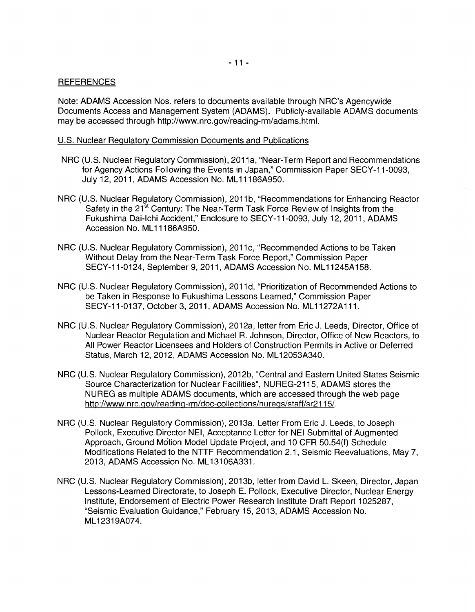#### **REFERENCES**

Note: ADAMS Accession Nos. refers to documents available through NRC's Agencywide Documents Access and Management System (ADAMS). Publicly-available ADAMS documents may be accessed through http://www.nrc.gov/reading-rm/adams.html.

#### U.S. Nuclear Regulatory Commission Documents and Publications

- NRC (U.S. Nuclear Regulatory Commission), 2011a, "Near-Term Report and Recommendations for Agency Actions Following the Events in Japan," Commission Paper SECY-11-0093, July 12, 2011, ADAMS Accession No. ML 11186A950.
- NRC (U.S. Nuclear Regulatory Commission), 2011 b, "Recommendations for Enhancing Reactor Safety in the 21<sup>st</sup> Century: The Near-Term Task Force Review of Insights from the Fukushima Dai-lchi Accident," Enclosure to SECY-11-0093, July 12, 2011, ADAMS Accession No. ML11186A950.
- NRC (U.S. Nuclear Regulatory Commission), 2011 c, "Recommended Actions to be Taken Without Delay from the Near-Term Task Force Report," Commission Paper SECY-11-0124, September 9, 2011, ADAMS Accession No. ML11245A158.
- NRC (U.S. Nuclear Regulatory Commission), 2011 d, "Prioritization of Recommended Actions to be Taken in Response to Fukushima Lessons Learned," Commission Paper SECY-11-0137, October 3, 2011, ADAMS Accession No. ML 11272A 111.
- NRC (U.S. Nuclear Regulatory Commission), 2012a, letter from Eric J. Leeds, Director, Office of Nuclear Reactor Regulation and Michael R. Johnson, Director, Office of New Reactors, to All Power Reactor Licensees and Holders of Construction Permits in Active or Deferred Status, March 12, 2012, ADAMS Accession No. ML 12053A340.
- NRC (U.S. Nuclear Regulatory Commission), 2012b, "Central and Eastern United States Seismic Source Characterization for Nuclear Facilities", NUREG-2115, ADAMS stores the NUREG as multiple ADAMS documents, which are accessed through the web page http://www.nrc.gov/readinq-rm/doc-collections/nuregs/staff/sr2115/.
- NRC (U.S. Nuclear Regulatory Commission), 2013a. Letter From Eric J. Leeds, to Joseph Pollock, Executive Director NEI, Acceptance Letter for NEI Submittal of Augmented Approach, Ground Motion Model Update Project, and 10 CFR 50.54(f) Schedule Modifications Related to the NTTF Recommendation 2.1, Seismic Reevaluations, May 7, 2013, ADAMS Accession No. ML13106A331.
- NRC (U.S. Nuclear Regulatory Commission), 2013b, letter from David L. Skeen, Director, Japan Lessons-Learned Directorate, to Joseph E. Pollock, Executive Director, Nuclear Energy Institute, Endorsement of Electric Power Research Institute Draft Report 1025287, "Seismic Evaluation Guidance," February 15, 2013, ADAMS Accession No. ML12319A074.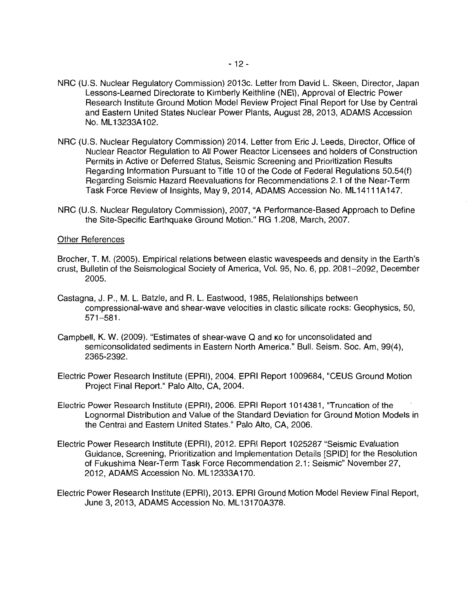- NRC (U.S. Nuclear Regulatory Commission) 2013c. Letter from David L. Skeen, Director, Japan Lessons-Learned Directorate to Kimberly Keithline (NEI), Approval of Electric Power Research Institute Ground Motion Model Review Project Final Report for Use by Central and Eastern United States Nuclear Power Plants, August 28, 2013, ADAMS Accession No. ML 13233A 102.
- NRC (U.S. Nuclear Regulatory Commission) 2014. Letter from Eric J. Leeds, Director, Office of Nuclear Reactor Regulation to All Power Reactor Licensees and holders of Construction Permits in Active or Deferred Status, Seismic Screening and Prioritization Results Regarding Information Pursuant to Title 10 of the Code of Federal Regulations 50.54(f) Regarding Seismic Hazard Reevaluations for Recommendations 2.1 of the Near-Term Task Force Review of Insights, May 9, 2014, ADAMS Accession No. ML 14111A147.
- NRC (U.S. Nuclear Regulatory Commission), 2007, "A Performance-Based Approach to Define the Site-Specific Earthquake Ground Motion." RG 1.208, March, 2007.

#### Other References

- Bracher, T. M. (2005). Empirical relations between elastic wavespeeds and density in the Earth's crust, Bulletin of the Seismological Society of America, Vol. 95, No. 6, pp. 2081-2092, December 2005.
- Castagna, J. P., M. L. Batzle, and R. L. Eastwood, 1985, Relationships between compressional-wave and shear-wave velocities in elastic silicate rocks: Geophysics, 50, 571-581.
- Campbell, K. W. (2009). "Estimates of shear-wave Q and KO for unconsolidated and semiconsolidated sediments in Eastern North America." Bull. Seism. Soc. Am, 99(4), 2365-2392.
- Electric Power Research Institute (EPRI), 2004. EPRI Report 1009684, "CEUS Ground Motion Project Final Report." Palo Alto, CA, 2004.
- Electric Power Research Institute (EPRI), 2006. EPRI Report 1014381, "Truncation of the Lognormal Distribution and Value of the Standard Deviation for Ground Motion Models in the Central and Eastern United States." Palo Alto, CA, 2006.
- Electric Power Research Institute (EPRI), 2012. EPRI Report 1025287 "Seismic Evaluation Guidance, Screening, Prioritization and Implementation Details [SPID] for the Resolution of Fukushima Near-Term Task Force Recommendation 2.1: Seismic" November 27, 2012, ADAMS Accession No. ML 12333A170.
- Electric Power Research Institute (EPRI), 2013. EPRI Ground Motion Model Review Final Report, June 3, 2013, ADAMS Accession No. ML13170A378.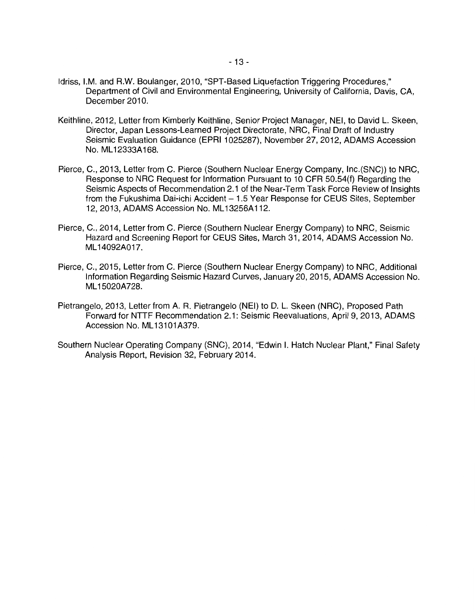- Idriss, I.M. and R.W. Boulanger, 2010, "SPT-Based Liquefaction Triggering Procedures." Department of Civil and Environmental Engineering, University of California, Davis, CA, December 2010.
- Keithline, 2012, Letter from Kimberly Keithline, Senior Project Manager, NEI, to David L. Skeen, Director, Japan Lessons-Learned Project Directorate, NRC, Final Draft of Industry Seismic Evaluation Guidance (EPRI 1025287), November 27, 2012, ADAMS Accession No. ML12333A168.
- Pierce, C., 2013, Letter from C. Pierce (Southern Nuclear Energy Company, lnc.(SNC)) to NRC, Response to NRC Request for Information Pursuant to 10 CFR 50.54(f) Regarding the Seismic Aspects of Recommendation 2.1 of the Near-Term Task Force Review of Insights from the Fukushima Dai-ichi Accident  $-1.5$  Year Response for CEUS Sites, September 12, 2013, ADAMS Accession No. ML 13256A 112.
- Pierce, C., 2014, Letter from C. Pierce (Southern Nuclear Energy Company) to NRC, Seismic Hazard and Screening Report for CEUS Sites, March 31, 2014, ADAMS Accession No. ML 14092A017.
- Pierce, C., 2015, Letter from C. Pierce (Southern Nuclear Energy Company) to NRC, Additional Information Regarding Seismic Hazard Curves, January 20, 2015, ADAMS Accession No. ML15020A728.
- Pietrangelo, 2013, Letter from A. R. Pietrangelo (NEI) to D. L. Skeen (NRC), Proposed Path Forward for NTTF Recommendation 2.1: Seismic Reevaluations, April 9, 2013, ADAMS Accession No. ML13101A379.
- Southern Nuclear Operating Company (SNC), 2014, "Edwin I. Hatch Nuclear Plant," Final Safety Analysis Report, Revision 32, February 2014.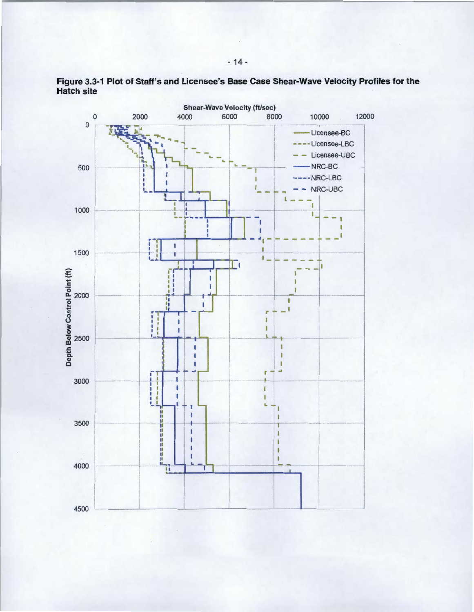

**Figure 3.3-1 Plot of Staff's and Licensee's Base Case Shear-Wave Velocity Profiles for the Hatch site**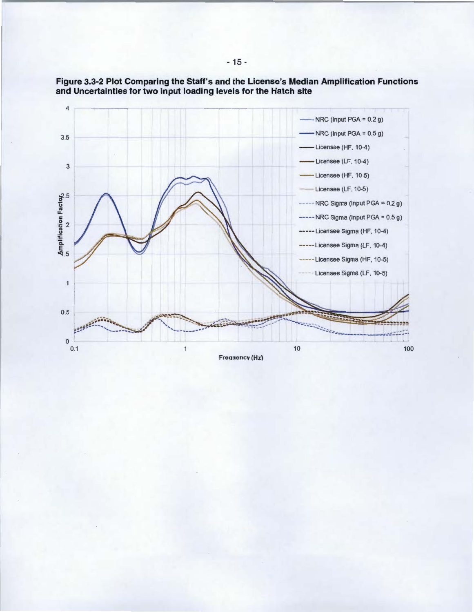

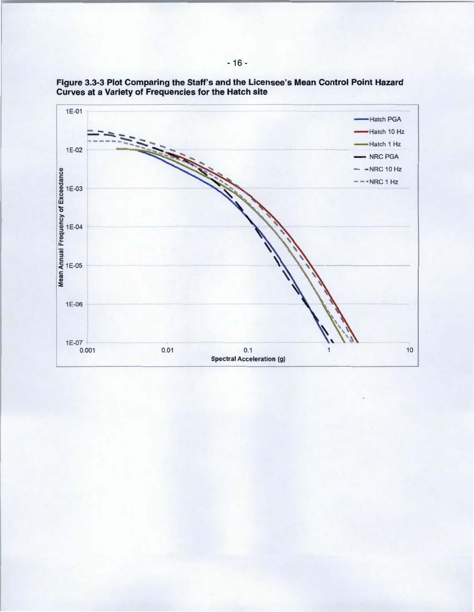

**Figure 3.3-3 Plot Comparing the Staff's and the Licensee's Mean Control Point Hazard Curves at a Variety of Frequencies for the Hatch site**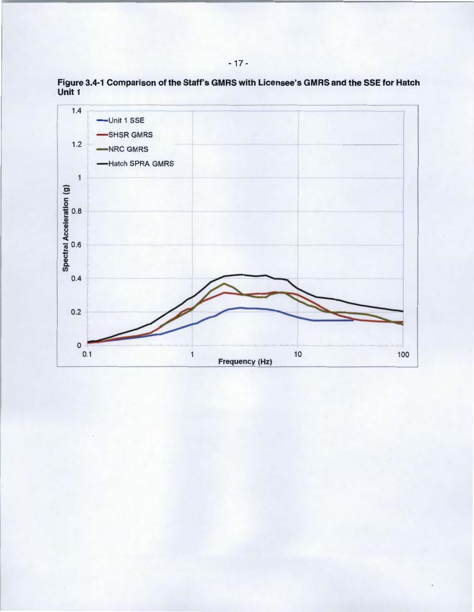

Figure 3.4-1 Comparison of the Staff's GMRS with Licensee's GMRS and the SSE for Hatch Unit 1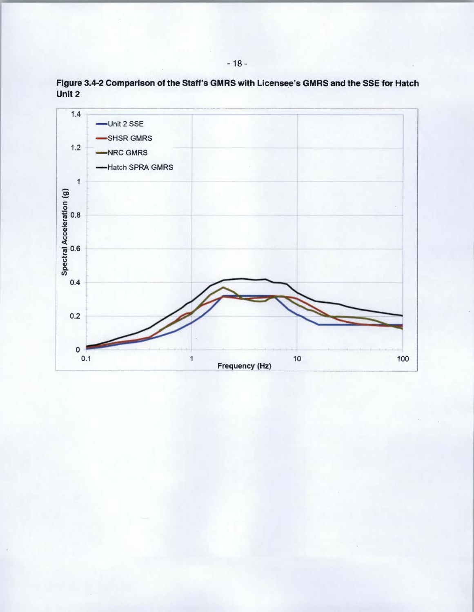

Figure 3.4-2 Comparison of the Staff's GMRS with Licensee's GMRS and the SSE for Hatch Unit 2